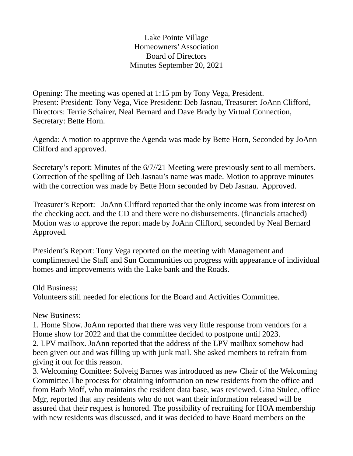## Lake Pointe Village Homeowners' Association Board of Directors Minutes September 20, 2021

Opening: The meeting was opened at 1:15 pm by Tony Vega, President. Present: President: Tony Vega, Vice President: Deb Jasnau, Treasurer: JoAnn Clifford, Directors: Terrie Schairer, Neal Bernard and Dave Brady by Virtual Connection, Secretary: Bette Horn.

Agenda: A motion to approve the Agenda was made by Bette Horn, Seconded by JoAnn Clifford and approved.

Secretary's report: Minutes of the 6/7//21 Meeting were previously sent to all members. Correction of the spelling of Deb Jasnau's name was made. Motion to approve minutes with the correction was made by Bette Horn seconded by Deb Jasnau. Approved.

Treasurer's Report: JoAnn Clifford reported that the only income was from interest on the checking acct. and the CD and there were no disbursements. (financials attached) Motion was to approve the report made by JoAnn Clifford, seconded by Neal Bernard Approved.

President's Report: Tony Vega reported on the meeting with Management and complimented the Staff and Sun Communities on progress with appearance of individual homes and improvements with the Lake bank and the Roads.

Old Business:

Volunteers still needed for elections for the Board and Activities Committee.

New Business:

1. Home Show. JoAnn reported that there was very little response from vendors for a Home show for 2022 and that the committee decided to postpone until 2023.

2. LPV mailbox. JoAnn reported that the address of the LPV mailbox somehow had been given out and was filling up with junk mail. She asked members to refrain from giving it out for this reason.

3. Welcoming Comittee: Solveig Barnes was introduced as new Chair of the Welcoming Committee.The process for obtaining information on new residents from the office and from Barb Moff, who maintains the resident data base, was reviewed. Gina Stulec, office Mgr, reported that any residents who do not want their information released will be assured that their request is honored. The possibility of recruiting for HOA membership with new residents was discussed, and it was decided to have Board members on the